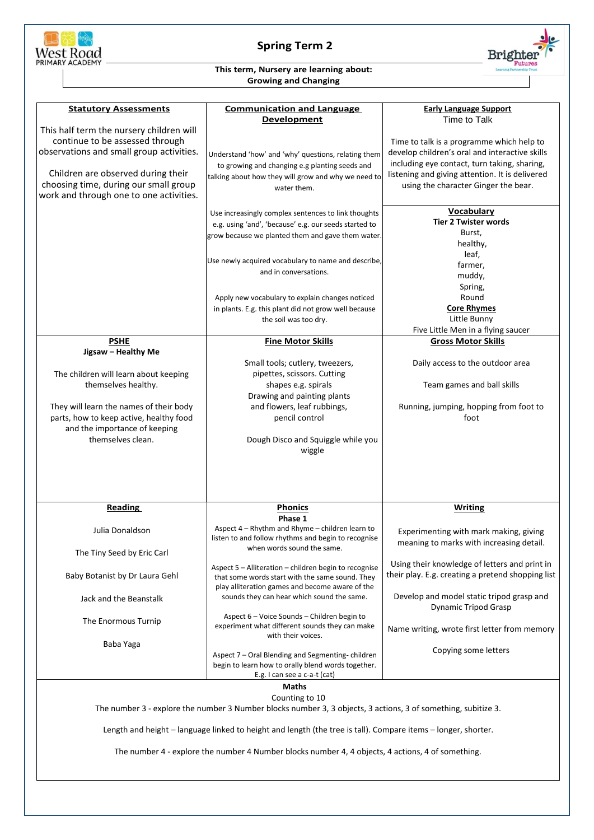

## **Spring Term 2**



## **This term, Nursery are learning about: Growing and Changing**

| <b>Statutory Assessments</b>                                                                                  | <b>Communication and Language</b>                                                                             | <b>Early Language Support</b>                     |  |
|---------------------------------------------------------------------------------------------------------------|---------------------------------------------------------------------------------------------------------------|---------------------------------------------------|--|
|                                                                                                               | <b>Development</b>                                                                                            | Time to Talk                                      |  |
| This half term the nursery children will                                                                      |                                                                                                               |                                                   |  |
| continue to be assessed through                                                                               |                                                                                                               | Time to talk is a programme which help to         |  |
| observations and small group activities.                                                                      | Understand 'how' and 'why' questions, relating them                                                           | develop children's oral and interactive skills    |  |
|                                                                                                               | to growing and changing e.g planting seeds and                                                                | including eye contact, turn taking, sharing,      |  |
| Children are observed during their                                                                            | talking about how they will grow and why we need to                                                           | listening and giving attention. It is delivered   |  |
| choosing time, during our small group                                                                         | water them.                                                                                                   | using the character Ginger the bear.              |  |
| work and through one to one activities.                                                                       |                                                                                                               |                                                   |  |
|                                                                                                               | Use increasingly complex sentences to link thoughts                                                           | <b>Vocabulary</b>                                 |  |
|                                                                                                               | e.g. using 'and', 'because' e.g. our seeds started to                                                         | <b>Tier 2 Twister words</b>                       |  |
|                                                                                                               | grow because we planted them and gave them water.                                                             | Burst,                                            |  |
|                                                                                                               |                                                                                                               | healthy,                                          |  |
|                                                                                                               |                                                                                                               | leaf,                                             |  |
|                                                                                                               | Use newly acquired vocabulary to name and describe,                                                           | farmer,                                           |  |
|                                                                                                               | and in conversations.                                                                                         | muddy,                                            |  |
|                                                                                                               |                                                                                                               | Spring,                                           |  |
|                                                                                                               | Apply new vocabulary to explain changes noticed                                                               | Round                                             |  |
|                                                                                                               | in plants. E.g. this plant did not grow well because                                                          | <b>Core Rhymes</b>                                |  |
|                                                                                                               | the soil was too dry.                                                                                         | Little Bunny                                      |  |
|                                                                                                               |                                                                                                               | Five Little Men in a flying saucer                |  |
| <b>PSHE</b>                                                                                                   | <b>Fine Motor Skills</b>                                                                                      | <b>Gross Motor Skills</b>                         |  |
| Jigsaw - Healthy Me                                                                                           |                                                                                                               |                                                   |  |
|                                                                                                               | Small tools; cutlery, tweezers,                                                                               | Daily access to the outdoor area                  |  |
| The children will learn about keeping                                                                         | pipettes, scissors. Cutting                                                                                   |                                                   |  |
| themselves healthy.                                                                                           | shapes e.g. spirals                                                                                           | Team games and ball skills                        |  |
|                                                                                                               | Drawing and painting plants                                                                                   |                                                   |  |
| They will learn the names of their body                                                                       | and flowers, leaf rubbings,                                                                                   | Running, jumping, hopping from foot to            |  |
| parts, how to keep active, healthy food                                                                       | pencil control                                                                                                | foot                                              |  |
| and the importance of keeping                                                                                 |                                                                                                               |                                                   |  |
| themselves clean.                                                                                             | Dough Disco and Squiggle while you                                                                            |                                                   |  |
|                                                                                                               | wiggle                                                                                                        |                                                   |  |
|                                                                                                               |                                                                                                               |                                                   |  |
|                                                                                                               |                                                                                                               |                                                   |  |
|                                                                                                               |                                                                                                               |                                                   |  |
|                                                                                                               |                                                                                                               |                                                   |  |
| <b>Reading</b>                                                                                                | <b>Phonics</b>                                                                                                | <b>Writing</b>                                    |  |
|                                                                                                               | Phase 1                                                                                                       |                                                   |  |
| Julia Donaldson                                                                                               | Aspect 4 - Rhythm and Rhyme - children learn to                                                               | Experimenting with mark making, giving            |  |
|                                                                                                               | listen to and follow rhythms and begin to recognise                                                           | meaning to marks with increasing detail.          |  |
| The Tiny Seed by Eric Carl                                                                                    | when words sound the same.                                                                                    |                                                   |  |
|                                                                                                               |                                                                                                               | Using their knowledge of letters and print in     |  |
| Baby Botanist by Dr Laura Gehl                                                                                | Aspect 5 - Alliteration - children begin to recognise<br>that some words start with the same sound. They      | their play. E.g. creating a pretend shopping list |  |
|                                                                                                               | play alliteration games and become aware of the                                                               |                                                   |  |
| Jack and the Beanstalk                                                                                        | sounds they can hear which sound the same.                                                                    | Develop and model static tripod grasp and         |  |
|                                                                                                               |                                                                                                               | Dynamic Tripod Grasp                              |  |
|                                                                                                               | Aspect 6 - Voice Sounds - Children begin to                                                                   |                                                   |  |
| The Enormous Turnip                                                                                           | experiment what different sounds they can make                                                                | Name writing, wrote first letter from memory      |  |
|                                                                                                               | with their voices.                                                                                            |                                                   |  |
| Baba Yaga                                                                                                     |                                                                                                               | Copying some letters                              |  |
|                                                                                                               | Aspect 7 - Oral Blending and Segmenting-children<br>begin to learn how to orally blend words together.        |                                                   |  |
|                                                                                                               | E.g. I can see a c-a-t (cat)                                                                                  |                                                   |  |
| Maths                                                                                                         |                                                                                                               |                                                   |  |
| Counting to 10                                                                                                |                                                                                                               |                                                   |  |
| The number 3 - explore the number 3 Number blocks number 3, 3 objects, 3 actions, 3 of something, subitize 3. |                                                                                                               |                                                   |  |
|                                                                                                               |                                                                                                               |                                                   |  |
|                                                                                                               |                                                                                                               |                                                   |  |
|                                                                                                               |                                                                                                               |                                                   |  |
|                                                                                                               | Length and height - language linked to height and length (the tree is tall). Compare items - longer, shorter. |                                                   |  |
|                                                                                                               |                                                                                                               |                                                   |  |
|                                                                                                               | The number 4 - explore the number 4 Number blocks number 4, 4 objects, 4 actions, 4 of something.             |                                                   |  |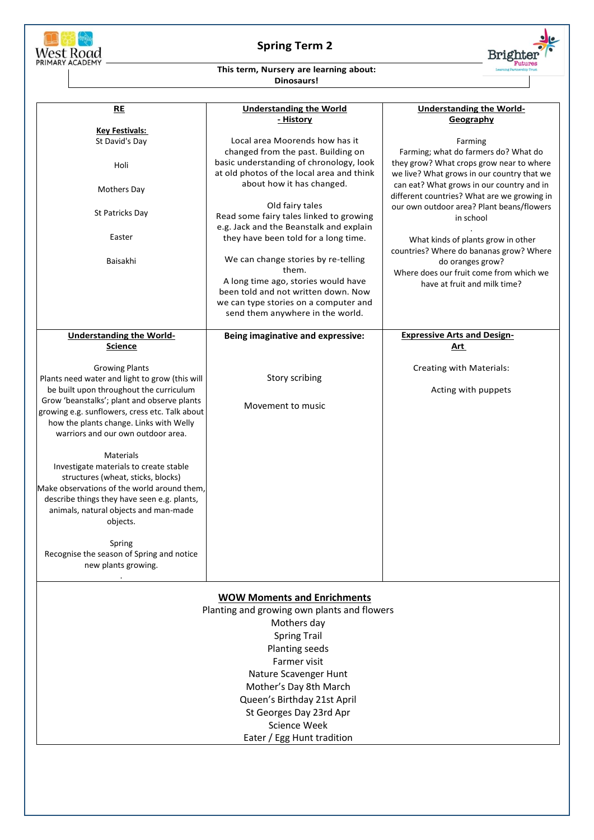

## **Spring Term 2**



## **This term, Nursery are learning about: Dinosaurs!**

| RE                                             | <b>Understanding the World</b>            | <b>Understanding the World-</b>             |  |  |
|------------------------------------------------|-------------------------------------------|---------------------------------------------|--|--|
|                                                | <u>- History</u>                          | Geography                                   |  |  |
| <b>Key Festivals:</b>                          |                                           |                                             |  |  |
| St David's Day                                 | Local area Moorends how has it            | Farming                                     |  |  |
|                                                | changed from the past. Building on        | Farming; what do farmers do? What do        |  |  |
| Holi                                           | basic understanding of chronology, look   | they grow? What crops grow near to where    |  |  |
|                                                | at old photos of the local area and think | we live? What grows in our country that we  |  |  |
|                                                | about how it has changed.                 | can eat? What grows in our country and in   |  |  |
| <b>Mothers Day</b>                             |                                           | different countries? What are we growing in |  |  |
|                                                | Old fairy tales                           | our own outdoor area? Plant beans/flowers   |  |  |
| St Patricks Day                                | Read some fairy tales linked to growing   | in school                                   |  |  |
|                                                | e.g. Jack and the Beanstalk and explain   |                                             |  |  |
| Easter                                         | they have been told for a long time.      | What kinds of plants grow in other          |  |  |
|                                                |                                           | countries? Where do bananas grow? Where     |  |  |
| Baisakhi                                       | We can change stories by re-telling       | do oranges grow?                            |  |  |
|                                                | them.                                     | Where does our fruit come from which we     |  |  |
|                                                | A long time ago, stories would have       |                                             |  |  |
|                                                | been told and not written down. Now       | have at fruit and milk time?                |  |  |
|                                                | we can type stories on a computer and     |                                             |  |  |
|                                                | send them anywhere in the world.          |                                             |  |  |
|                                                |                                           |                                             |  |  |
| <b>Understanding the World-</b>                | Being imaginative and expressive:         | <b>Expressive Arts and Design-</b>          |  |  |
| <b>Science</b>                                 |                                           | <u>Art</u>                                  |  |  |
|                                                |                                           |                                             |  |  |
| <b>Growing Plants</b>                          |                                           | Creating with Materials:                    |  |  |
| Plants need water and light to grow (this will | Story scribing                            |                                             |  |  |
| be built upon throughout the curriculum        |                                           | Acting with puppets                         |  |  |
| Grow 'beanstalks'; plant and observe plants    |                                           |                                             |  |  |
| growing e.g. sunflowers, cress etc. Talk about | Movement to music                         |                                             |  |  |
| how the plants change. Links with Welly        |                                           |                                             |  |  |
| warriors and our own outdoor area.             |                                           |                                             |  |  |
|                                                |                                           |                                             |  |  |
| Materials                                      |                                           |                                             |  |  |
| Investigate materials to create stable         |                                           |                                             |  |  |
| structures (wheat, sticks, blocks)             |                                           |                                             |  |  |
| Make observations of the world around them.    |                                           |                                             |  |  |
| describe things they have seen e.g. plants,    |                                           |                                             |  |  |
| animals, natural objects and man-made          |                                           |                                             |  |  |
| objects.                                       |                                           |                                             |  |  |
|                                                |                                           |                                             |  |  |
| Spring                                         |                                           |                                             |  |  |
| Recognise the season of Spring and notice      |                                           |                                             |  |  |
|                                                |                                           |                                             |  |  |
| new plants growing.                            |                                           |                                             |  |  |
|                                                |                                           |                                             |  |  |
| <b>WOW Moments and Enrichments</b>             |                                           |                                             |  |  |
| Planting and growing own plants and flowers    |                                           |                                             |  |  |
|                                                |                                           |                                             |  |  |
| Mothers day                                    |                                           |                                             |  |  |
| <b>Spring Trail</b>                            |                                           |                                             |  |  |
| Planting seeds                                 |                                           |                                             |  |  |
|                                                | Farmer visit                              |                                             |  |  |
|                                                | Nature Scavenger Hunt                     |                                             |  |  |

Mother's Day 8th March

Queen's Birthday 21st April St Georges Day 23rd Apr

- Science Week
- Eater / Egg Hunt tradition